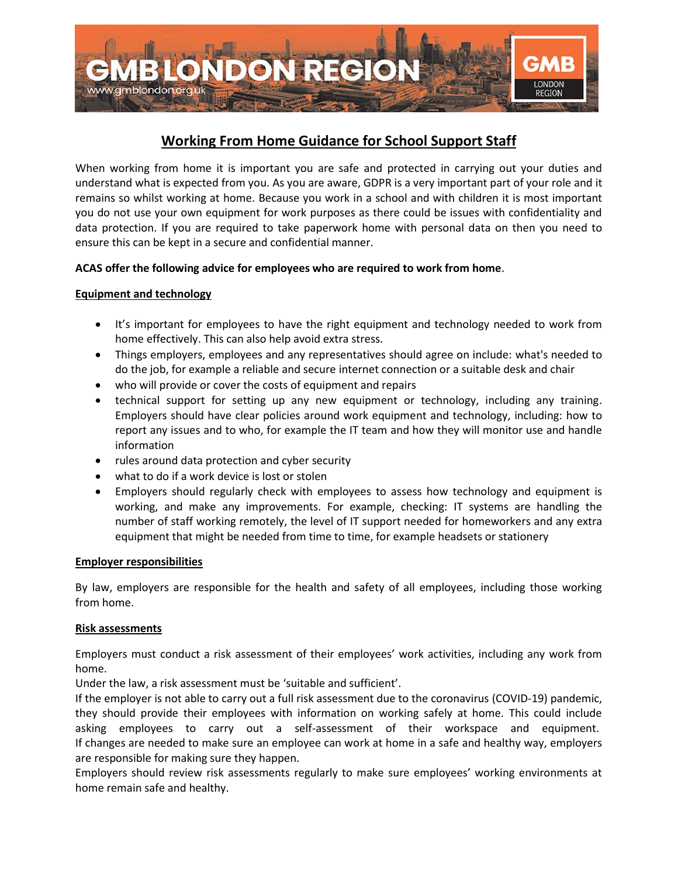

# **Working From Home Guidance for School Support Staff**

When working from home it is important you are safe and protected in carrying out your duties and understand what is expected from you. As you are aware, GDPR is a very important part of your role and it remains so whilst working at home. Because you work in a school and with children it is most important you do not use your own equipment for work purposes as there could be issues with confidentiality and data protection. If you are required to take paperwork home with personal data on then you need to ensure this can be kept in a secure and confidential manner.

## **ACAS offer the following advice for employees who are required to work from home**.

## **Equipment and technology**

- It's important for employees to have the right equipment and technology needed to work from home effectively. This can also help avoid extra stress.
- Things employers, employees and any representatives should agree on include: what's needed to do the job, for example a reliable and secure internet connection or a suitable desk and chair
- who will provide or cover the costs of equipment and repairs
- technical support for setting up any new equipment or technology, including any training. Employers should have clear policies around work equipment and technology, including: how to report any issues and to who, for example the IT team and how they will monitor use and handle information
- rules around data protection and cyber security
- what to do if a work device is lost or stolen
- Employers should regularly check with employees to assess how technology and equipment is working, and make any improvements. For example, checking: IT systems are handling the number of staff working remotely, the level of IT support needed for homeworkers and any extra equipment that might be needed from time to time, for example headsets or stationery

### **Employer responsibilities**

By law, employers are responsible for the health and safety of all employees, including those working from home.

### **Risk assessments**

Employers must conduct a risk assessment of their employees' work activities, including any work from home.

Under the law, a risk assessment must be 'suitable and sufficient'.

If the employer is not able to carry out a full risk assessment due to the coronavirus (COVID-19) pandemic, they should provide their employees with information on working safely at home. This could include asking employees to carry out a self-assessment of their workspace and equipment. If changes are needed to make sure an employee can work at home in a safe and healthy way, employers are responsible for making sure they happen.

Employers should review risk assessments regularly to make sure employees' working environments at home remain safe and healthy.